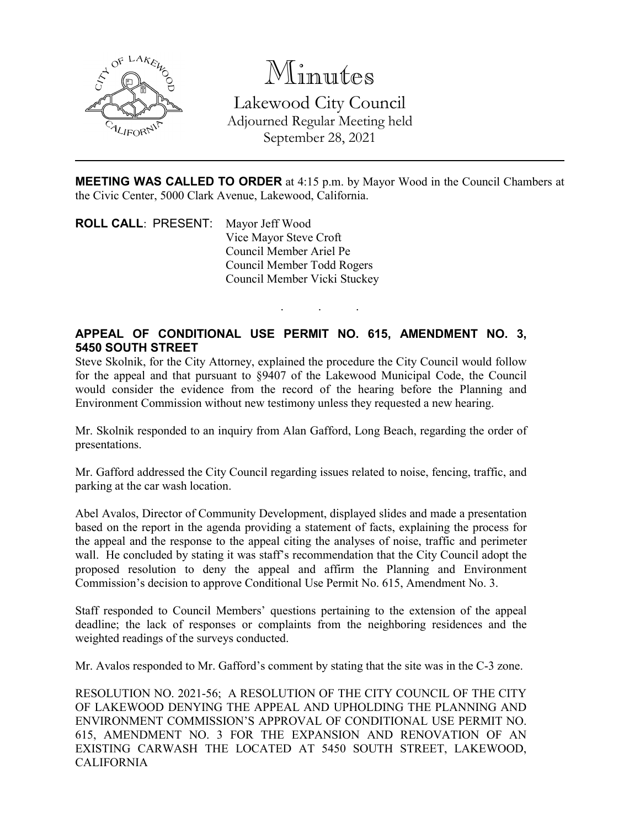

Minutes Lakewood City Council Adjourned Regular Meeting held September 28, 2021

**MEETING WAS CALLED TO ORDER** at 4:15 p.m. by Mayor Wood in the Council Chambers at the Civic Center, 5000 Clark Avenue, Lakewood, California.

. . .

**ROLL CALL**: PRESENT: Mayor Jeff Wood Vice Mayor Steve Croft Council Member Ariel Pe Council Member Todd Rogers Council Member Vicki Stuckey

## **APPEAL OF CONDITIONAL USE PERMIT NO. 615, AMENDMENT NO. 3, 5450 SOUTH STREET**

Steve Skolnik, for the City Attorney, explained the procedure the City Council would follow for the appeal and that pursuant to §9407 of the Lakewood Municipal Code, the Council would consider the evidence from the record of the hearing before the Planning and Environment Commission without new testimony unless they requested a new hearing.

Mr. Skolnik responded to an inquiry from Alan Gafford, Long Beach, regarding the order of presentations.

Mr. Gafford addressed the City Council regarding issues related to noise, fencing, traffic, and parking at the car wash location.

Abel Avalos, Director of Community Development, displayed slides and made a presentation based on the report in the agenda providing a statement of facts, explaining the process for the appeal and the response to the appeal citing the analyses of noise, traffic and perimeter wall. He concluded by stating it was staff's recommendation that the City Council adopt the proposed resolution to deny the appeal and affirm the Planning and Environment Commission's decision to approve Conditional Use Permit No. 615, Amendment No. 3.

Staff responded to Council Members' questions pertaining to the extension of the appeal deadline; the lack of responses or complaints from the neighboring residences and the weighted readings of the surveys conducted.

Mr. Avalos responded to Mr. Gafford's comment by stating that the site was in the C-3 zone.

RESOLUTION NO. 2021-56; A RESOLUTION OF THE CITY COUNCIL OF THE CITY OF LAKEWOOD DENYING THE APPEAL AND UPHOLDING THE PLANNING AND ENVIRONMENT COMMISSION'S APPROVAL OF CONDITIONAL USE PERMIT NO. 615, AMENDMENT NO. 3 FOR THE EXPANSION AND RENOVATION OF AN EXISTING CARWASH THE LOCATED AT 5450 SOUTH STREET, LAKEWOOD, CALIFORNIA